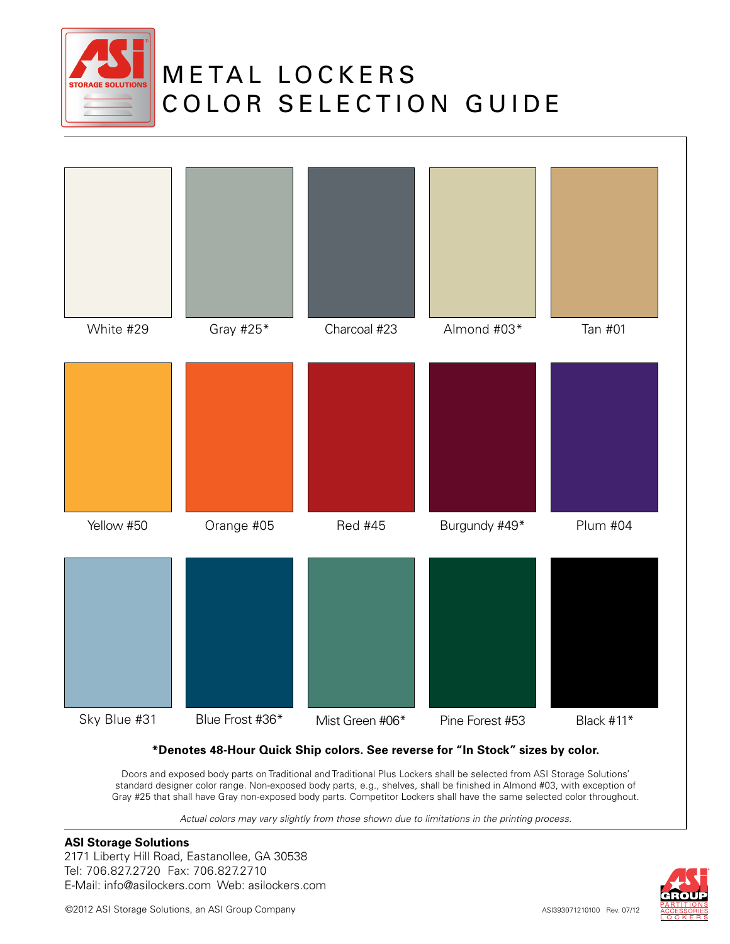

## **METAL LOCKERS** COLOR SELECTION GUIDE



#### **\*Denotes 48-Hour Quick Ship colors. See reverse for "In Stock" sizes by color.**

Doors and exposed body parts on Traditional and Traditional Plus Lockers shall be selected from ASI Storage Solutions' standard designer color range. Non-exposed body parts, e.g., shelves, shall be finished in Almond #03, with exception of Gray #25 that shall have Gray non-exposed body parts. Competitor Lockers shall have the same selected color throughout.

*Actual colors may vary slightly from those shown due to limitations in the printing process.*

#### **ASI Storage Solutions**

2171 Liberty Hill Road, Eastanollee, GA 30538 Tel: 706.827.2720 Fax: 706.827.2710 E-Mail: info@asilockers.com Web: asilockers.com